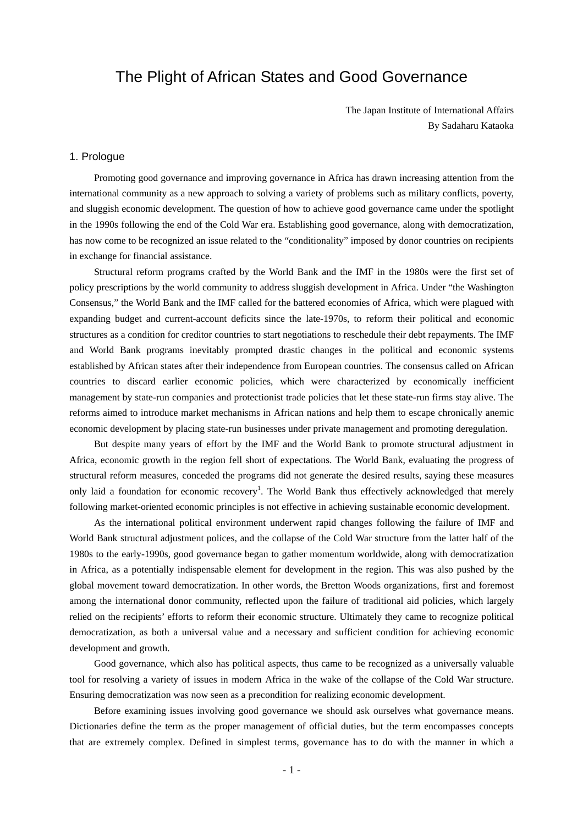# The Plight of African States and Good Governance

The Japan Institute of International Affairs By Sadaharu Kataoka

# 1. Prologue

Promoting good governance and improving governance in Africa has drawn increasing attention from the international community as a new approach to solving a variety of problems such as military conflicts, poverty, and sluggish economic development. The question of how to achieve good governance came under the spotlight in the 1990s following the end of the Cold War era. Establishing good governance, along with democratization, has now come to be recognized an issue related to the "conditionality" imposed by donor countries on recipients in exchange for financial assistance.

Structural reform programs crafted by the World Bank and the IMF in the 1980s were the first set of policy prescriptions by the world community to address sluggish development in Africa. Under "the Washington Consensus," the World Bank and the IMF called for the battered economies of Africa, which were plagued with expanding budget and current-account deficits since the late-1970s, to reform their political and economic structures as a condition for creditor countries to start negotiations to reschedule their debt repayments. The IMF and World Bank programs inevitably prompted drastic changes in the political and economic systems established by African states after their independence from European countries. The consensus called on African countries to discard earlier economic policies, which were characterized by economically inefficient management by state-run companies and protectionist trade policies that let these state-run firms stay alive. The reforms aimed to introduce market mechanisms in African nations and help them to escape chronically anemic economic development by placing state-run businesses under private management and promoting deregulation.

But despite many years of effort by the IMF and the World Bank to promote structural adjustment in Africa, economic growth in the region fell short of expectations. The World Bank, evaluating the progress of structural reform measures, conceded the programs did not generate the desired results, saying these measures only laid a foundation for economic recovery<sup>[1](#page-11-0)</sup>. The World Bank thus effectively acknowledged that merely following market-oriented economic principles is not effective in achieving sustainable economic development.

As the international political environment underwent rapid changes following the failure of IMF and World Bank structural adjustment polices, and the collapse of the Cold War structure from the latter half of the 1980s to the early-1990s, good governance began to gather momentum worldwide, along with democratization in Africa, as a potentially indispensable element for development in the region. This was also pushed by the global movement toward democratization. In other words, the Bretton Woods organizations, first and foremost among the international donor community, reflected upon the failure of traditional aid policies, which largely relied on the recipients' efforts to reform their economic structure. Ultimately they came to recognize political democratization, as both a universal value and a necessary and sufficient condition for achieving economic development and growth.

Good governance, which also has political aspects, thus came to be recognized as a universally valuable tool for resolving a variety of issues in modern Africa in the wake of the collapse of the Cold War structure. Ensuring democratization was now seen as a precondition for realizing economic development.

Before examining issues involving good governance we should ask ourselves what governance means. Dictionaries define the term as the proper management of official duties, but the term encompasses concepts that are extremely complex. Defined in simplest terms, governance has to do with the manner in which a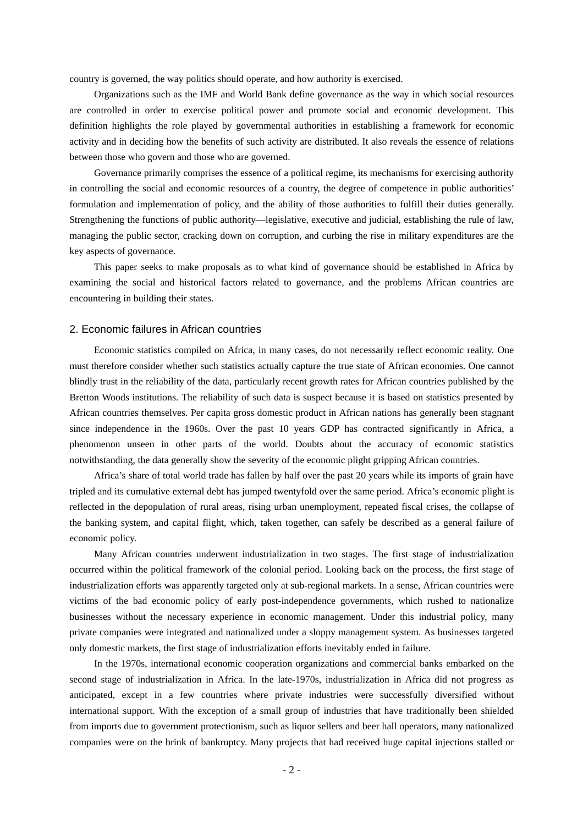country is governed, the way politics should operate, and how authority is exercised.

Organizations such as the IMF and World Bank define governance as the way in which social resources are controlled in order to exercise political power and promote social and economic development. This definition highlights the role played by governmental authorities in establishing a framework for economic activity and in deciding how the benefits of such activity are distributed. It also reveals the essence of relations between those who govern and those who are governed.

Governance primarily comprises the essence of a political regime, its mechanisms for exercising authority in controlling the social and economic resources of a country, the degree of competence in public authorities' formulation and implementation of policy, and the ability of those authorities to fulfill their duties generally. Strengthening the functions of public authority—legislative, executive and judicial, establishing the rule of law, managing the public sector, cracking down on corruption, and curbing the rise in military expenditures are the key aspects of governance.

This paper seeks to make proposals as to what kind of governance should be established in Africa by examining the social and historical factors related to governance, and the problems African countries are encountering in building their states.

## 2. Economic failures in African countries

Economic statistics compiled on Africa, in many cases, do not necessarily reflect economic reality. One must therefore consider whether such statistics actually capture the true state of African economies. One cannot blindly trust in the reliability of the data, particularly recent growth rates for African countries published by the Bretton Woods institutions. The reliability of such data is suspect because it is based on statistics presented by African countries themselves. Per capita gross domestic product in African nations has generally been stagnant since independence in the 1960s. Over the past 10 years GDP has contracted significantly in Africa, a phenomenon unseen in other parts of the world. Doubts about the accuracy of economic statistics notwithstanding, the data generally show the severity of the economic plight gripping African countries.

Africa's share of total world trade has fallen by half over the past 20 years while its imports of grain have tripled and its cumulative external debt has jumped twentyfold over the same period. Africa's economic plight is reflected in the depopulation of rural areas, rising urban unemployment, repeated fiscal crises, the collapse of the banking system, and capital flight, which, taken together, can safely be described as a general failure of economic policy.

Many African countries underwent industrialization in two stages. The first stage of industrialization occurred within the political framework of the colonial period. Looking back on the process, the first stage of industrialization efforts was apparently targeted only at sub-regional markets. In a sense, African countries were victims of the bad economic policy of early post-independence governments, which rushed to nationalize businesses without the necessary experience in economic management. Under this industrial policy, many private companies were integrated and nationalized under a sloppy management system. As businesses targeted only domestic markets, the first stage of industrialization efforts inevitably ended in failure.

In the 1970s, international economic cooperation organizations and commercial banks embarked on the second stage of industrialization in Africa. In the late-1970s, industrialization in Africa did not progress as anticipated, except in a few countries where private industries were successfully diversified without international support. With the exception of a small group of industries that have traditionally been shielded from imports due to government protectionism, such as liquor sellers and beer hall operators, many nationalized companies were on the brink of bankruptcy. Many projects that had received huge capital injections stalled or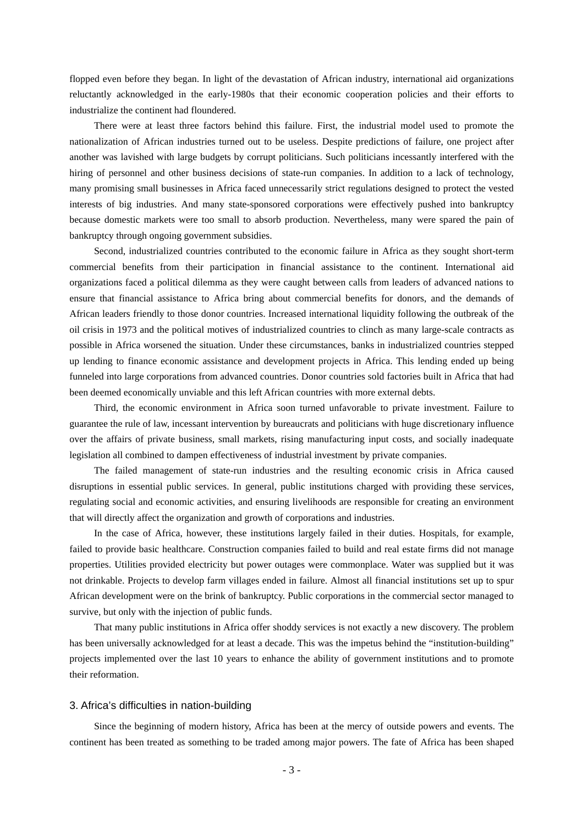flopped even before they began. In light of the devastation of African industry, international aid organizations reluctantly acknowledged in the early-1980s that their economic cooperation policies and their efforts to industrialize the continent had floundered.

There were at least three factors behind this failure. First, the industrial model used to promote the nationalization of African industries turned out to be useless. Despite predictions of failure, one project after another was lavished with large budgets by corrupt politicians. Such politicians incessantly interfered with the hiring of personnel and other business decisions of state-run companies. In addition to a lack of technology, many promising small businesses in Africa faced unnecessarily strict regulations designed to protect the vested interests of big industries. And many state-sponsored corporations were effectively pushed into bankruptcy because domestic markets were too small to absorb production. Nevertheless, many were spared the pain of bankruptcy through ongoing government subsidies.

Second, industrialized countries contributed to the economic failure in Africa as they sought short-term commercial benefits from their participation in financial assistance to the continent. International aid organizations faced a political dilemma as they were caught between calls from leaders of advanced nations to ensure that financial assistance to Africa bring about commercial benefits for donors, and the demands of African leaders friendly to those donor countries. Increased international liquidity following the outbreak of the oil crisis in 1973 and the political motives of industrialized countries to clinch as many large-scale contracts as possible in Africa worsened the situation. Under these circumstances, banks in industrialized countries stepped up lending to finance economic assistance and development projects in Africa. This lending ended up being funneled into large corporations from advanced countries. Donor countries sold factories built in Africa that had been deemed economically unviable and this left African countries with more external debts.

Third, the economic environment in Africa soon turned unfavorable to private investment. Failure to guarantee the rule of law, incessant intervention by bureaucrats and politicians with huge discretionary influence over the affairs of private business, small markets, rising manufacturing input costs, and socially inadequate legislation all combined to dampen effectiveness of industrial investment by private companies.

The failed management of state-run industries and the resulting economic crisis in Africa caused disruptions in essential public services. In general, public institutions charged with providing these services, regulating social and economic activities, and ensuring livelihoods are responsible for creating an environment that will directly affect the organization and growth of corporations and industries.

In the case of Africa, however, these institutions largely failed in their duties. Hospitals, for example, failed to provide basic healthcare. Construction companies failed to build and real estate firms did not manage properties. Utilities provided electricity but power outages were commonplace. Water was supplied but it was not drinkable. Projects to develop farm villages ended in failure. Almost all financial institutions set up to spur African development were on the brink of bankruptcy. Public corporations in the commercial sector managed to survive, but only with the injection of public funds.

That many public institutions in Africa offer shoddy services is not exactly a new discovery. The problem has been universally acknowledged for at least a decade. This was the impetus behind the "institution-building" projects implemented over the last 10 years to enhance the ability of government institutions and to promote their reformation.

#### 3. Africa's difficulties in nation-building

Since the beginning of modern history, Africa has been at the mercy of outside powers and events. The continent has been treated as something to be traded among major powers. The fate of Africa has been shaped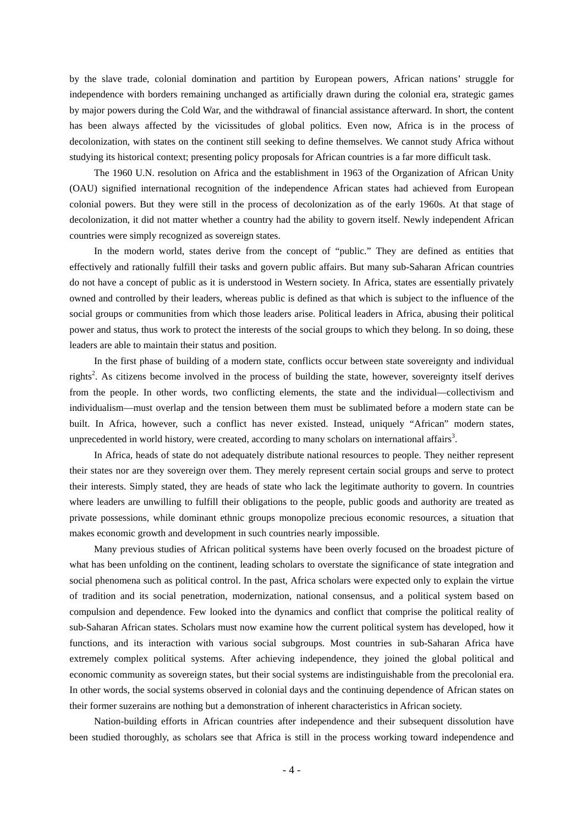by the slave trade, colonial domination and partition by European powers, African nations' struggle for independence with borders remaining unchanged as artificially drawn during the colonial era, strategic games by major powers during the Cold War, and the withdrawal of financial assistance afterward. In short, the content has been always affected by the vicissitudes of global politics. Even now, Africa is in the process of decolonization, with states on the continent still seeking to define themselves. We cannot study Africa without studying its historical context; presenting policy proposals for African countries is a far more difficult task.

The 1960 U.N. resolution on Africa and the establishment in 1963 of the Organization of African Unity (OAU) signified international recognition of the independence African states had achieved from European colonial powers. But they were still in the process of decolonization as of the early 1960s. At that stage of decolonization, it did not matter whether a country had the ability to govern itself. Newly independent African countries were simply recognized as sovereign states.

In the modern world, states derive from the concept of "public." They are defined as entities that effectively and rationally fulfill their tasks and govern public affairs. But many sub-Saharan African countries do not have a concept of public as it is understood in Western society. In Africa, states are essentially privately owned and controlled by their leaders, whereas public is defined as that which is subject to the influence of the social groups or communities from which those leaders arise. Political leaders in Africa, abusing their political power and status, thus work to protect the interests of the social groups to which they belong. In so doing, these leaders are able to maintain their status and position.

In the first phase of building of a modern state, conflicts occur between state sovereignty and individual rights<sup>[2](#page-11-1)</sup>. As citizens become involved in the process of building the state, however, sovereignty itself derives from the people. In other words, two conflicting elements, the state and the individual—collectivism and individualism—must overlap and the tension between them must be sublimated before a modern state can be built. In Africa, however, such a conflict has never existed. Instead, uniquely "African" modern states, unprecedented in world history, were created, according to many scholars on international affairs<sup>[3](#page-11-2)</sup>.

In Africa, heads of state do not adequately distribute national resources to people. They neither represent their states nor are they sovereign over them. They merely represent certain social groups and serve to protect their interests. Simply stated, they are heads of state who lack the legitimate authority to govern. In countries where leaders are unwilling to fulfill their obligations to the people, public goods and authority are treated as private possessions, while dominant ethnic groups monopolize precious economic resources, a situation that makes economic growth and development in such countries nearly impossible.

Many previous studies of African political systems have been overly focused on the broadest picture of what has been unfolding on the continent, leading scholars to overstate the significance of state integration and social phenomena such as political control. In the past, Africa scholars were expected only to explain the virtue of tradition and its social penetration, modernization, national consensus, and a political system based on compulsion and dependence. Few looked into the dynamics and conflict that comprise the political reality of sub-Saharan African states. Scholars must now examine how the current political system has developed, how it functions, and its interaction with various social subgroups. Most countries in sub-Saharan Africa have extremely complex political systems. After achieving independence, they joined the global political and economic community as sovereign states, but their social systems are indistinguishable from the precolonial era. In other words, the social systems observed in colonial days and the continuing dependence of African states on their former suzerains are nothing but a demonstration of inherent characteristics in African society.

Nation-building efforts in African countries after independence and their subsequent dissolution have been studied thoroughly, as scholars see that Africa is still in the process working toward independence and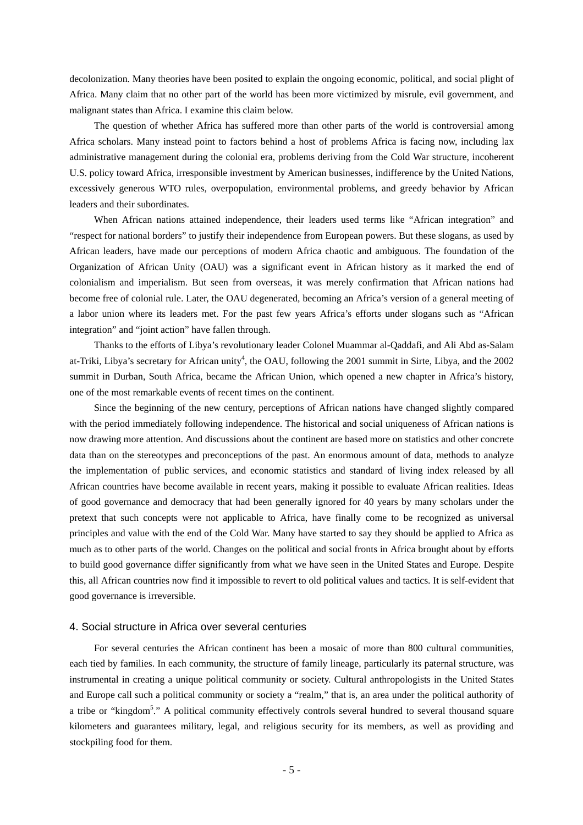decolonization. Many theories have been posited to explain the ongoing economic, political, and social plight of Africa. Many claim that no other part of the world has been more victimized by misrule, evil government, and malignant states than Africa. I examine this claim below.

The question of whether Africa has suffered more than other parts of the world is controversial among Africa scholars. Many instead point to factors behind a host of problems Africa is facing now, including lax administrative management during the colonial era, problems deriving from the Cold War structure, incoherent U.S. policy toward Africa, irresponsible investment by American businesses, indifference by the United Nations, excessively generous WTO rules, overpopulation, environmental problems, and greedy behavior by African leaders and their subordinates.

When African nations attained independence, their leaders used terms like "African integration" and "respect for national borders" to justify their independence from European powers. But these slogans, as used by African leaders, have made our perceptions of modern Africa chaotic and ambiguous. The foundation of the Organization of African Unity (OAU) was a significant event in African history as it marked the end of colonialism and imperialism. But seen from overseas, it was merely confirmation that African nations had become free of colonial rule. Later, the OAU degenerated, becoming an Africa's version of a general meeting of a labor union where its leaders met. For the past few years Africa's efforts under slogans such as "African integration" and "joint action" have fallen through.

Thanks to the efforts of Libya's revolutionary leader Colonel Muammar al-Qaddafi, and Ali Abd as-Salam at-Triki, Libya's secretary for African unity<sup>[4](#page-11-3)</sup>, the OAU, following the 2001 summit in Sirte, Libya, and the 2002 summit in Durban, South Africa, became the African Union, which opened a new chapter in Africa's history, one of the most remarkable events of recent times on the continent.

Since the beginning of the new century, perceptions of African nations have changed slightly compared with the period immediately following independence. The historical and social uniqueness of African nations is now drawing more attention. And discussions about the continent are based more on statistics and other concrete data than on the stereotypes and preconceptions of the past. An enormous amount of data, methods to analyze the implementation of public services, and economic statistics and standard of living index released by all African countries have become available in recent years, making it possible to evaluate African realities. Ideas of good governance and democracy that had been generally ignored for 40 years by many scholars under the pretext that such concepts were not applicable to Africa, have finally come to be recognized as universal principles and value with the end of the Cold War. Many have started to say they should be applied to Africa as much as to other parts of the world. Changes on the political and social fronts in Africa brought about by efforts to build good governance differ significantly from what we have seen in the United States and Europe. Despite this, all African countries now find it impossible to revert to old political values and tactics. It is self-evident that good governance is irreversible.

# 4. Social structure in Africa over several centuries

For several centuries the African continent has been a mosaic of more than 800 cultural communities, each tied by families. In each community, the structure of family lineage, particularly its paternal structure, was instrumental in creating a unique political community or society. Cultural anthropologists in the United States and Europe call such a political community or society a "realm," that is, an area under the political authority of a tribe or "kingdom<sup>[5](#page-11-4)</sup>." A political community effectively controls several hundred to several thousand square kilometers and guarantees military, legal, and religious security for its members, as well as providing and stockpiling food for them.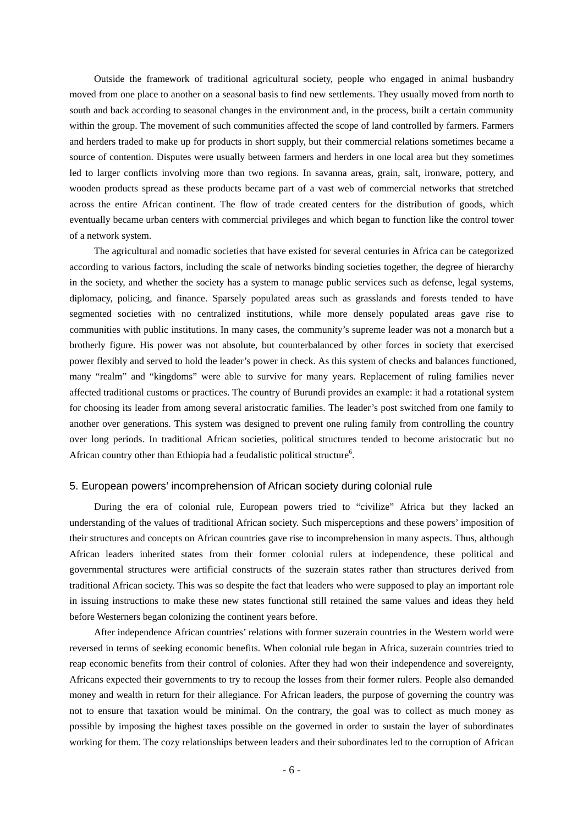Outside the framework of traditional agricultural society, people who engaged in animal husbandry moved from one place to another on a seasonal basis to find new settlements. They usually moved from north to south and back according to seasonal changes in the environment and, in the process, built a certain community within the group. The movement of such communities affected the scope of land controlled by farmers. Farmers and herders traded to make up for products in short supply, but their commercial relations sometimes became a source of contention. Disputes were usually between farmers and herders in one local area but they sometimes led to larger conflicts involving more than two regions. In savanna areas, grain, salt, ironware, pottery, and wooden products spread as these products became part of a vast web of commercial networks that stretched across the entire African continent. The flow of trade created centers for the distribution of goods, which eventually became urban centers with commercial privileges and which began to function like the control tower of a network system.

The agricultural and nomadic societies that have existed for several centuries in Africa can be categorized according to various factors, including the scale of networks binding societies together, the degree of hierarchy in the society, and whether the society has a system to manage public services such as defense, legal systems, diplomacy, policing, and finance. Sparsely populated areas such as grasslands and forests tended to have segmented societies with no centralized institutions, while more densely populated areas gave rise to communities with public institutions. In many cases, the community's supreme leader was not a monarch but a brotherly figure. His power was not absolute, but counterbalanced by other forces in society that exercised power flexibly and served to hold the leader's power in check. As this system of checks and balances functioned, many "realm" and "kingdoms" were able to survive for many years. Replacement of ruling families never affected traditional customs or practices. The country of Burundi provides an example: it had a rotational system for choosing its leader from among several aristocratic families. The leader's post switched from one family to another over generations. This system was designed to prevent one ruling family from controlling the country over long periods. In traditional African societies, political structures tended to become aristocratic but no African country other than Ethiopia had a feudalistic political structure<sup>6</sup>.

### 5. European powers' incomprehension of African society during colonial rule

During the era of colonial rule, European powers tried to "civilize" Africa but they lacked an understanding of the values of traditional African society. Such misperceptions and these powers' imposition of their structures and concepts on African countries gave rise to incomprehension in many aspects. Thus, although African leaders inherited states from their former colonial rulers at independence, these political and governmental structures were artificial constructs of the suzerain states rather than structures derived from traditional African society. This was so despite the fact that leaders who were supposed to play an important role in issuing instructions to make these new states functional still retained the same values and ideas they held before Westerners began colonizing the continent years before.

After independence African countries' relations with former suzerain countries in the Western world were reversed in terms of seeking economic benefits. When colonial rule began in Africa, suzerain countries tried to reap economic benefits from their control of colonies. After they had won their independence and sovereignty, Africans expected their governments to try to recoup the losses from their former rulers. People also demanded money and wealth in return for their allegiance. For African leaders, the purpose of governing the country was not to ensure that taxation would be minimal. On the contrary, the goal was to collect as much money as possible by imposing the highest taxes possible on the governed in order to sustain the layer of subordinates working for them. The cozy relationships between leaders and their subordinates led to the corruption of African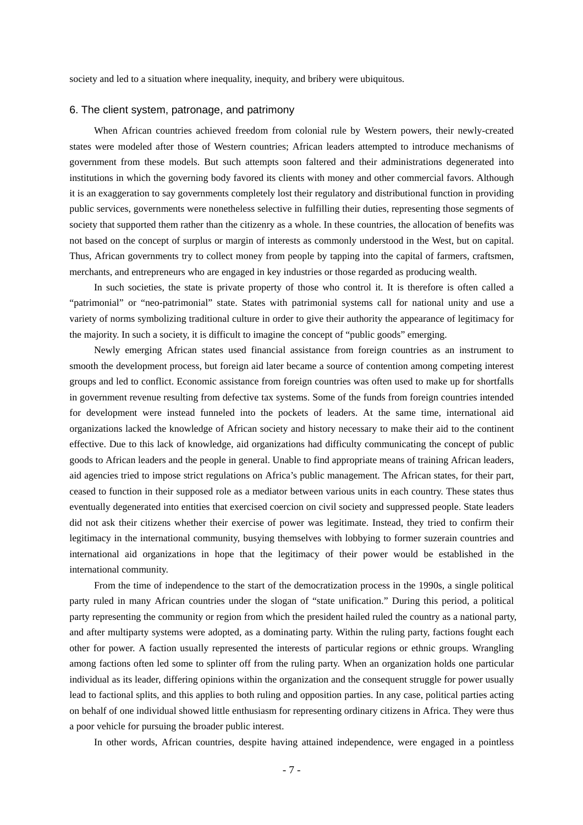society and led to a situation where inequality, inequity, and bribery were ubiquitous.

## 6. The client system, patronage, and patrimony

When African countries achieved freedom from colonial rule by Western powers, their newly-created states were modeled after those of Western countries; African leaders attempted to introduce mechanisms of government from these models. But such attempts soon faltered and their administrations degenerated into institutions in which the governing body favored its clients with money and other commercial favors. Although it is an exaggeration to say governments completely lost their regulatory and distributional function in providing public services, governments were nonetheless selective in fulfilling their duties, representing those segments of society that supported them rather than the citizenry as a whole. In these countries, the allocation of benefits was not based on the concept of surplus or margin of interests as commonly understood in the West, but on capital. Thus, African governments try to collect money from people by tapping into the capital of farmers, craftsmen, merchants, and entrepreneurs who are engaged in key industries or those regarded as producing wealth.

In such societies, the state is private property of those who control it. It is therefore is often called a "patrimonial" or "neo-patrimonial" state. States with patrimonial systems call for national unity and use a variety of norms symbolizing traditional culture in order to give their authority the appearance of legitimacy for the majority. In such a society, it is difficult to imagine the concept of "public goods" emerging.

Newly emerging African states used financial assistance from foreign countries as an instrument to smooth the development process, but foreign aid later became a source of contention among competing interest groups and led to conflict. Economic assistance from foreign countries was often used to make up for shortfalls in government revenue resulting from defective tax systems. Some of the funds from foreign countries intended for development were instead funneled into the pockets of leaders. At the same time, international aid organizations lacked the knowledge of African society and history necessary to make their aid to the continent effective. Due to this lack of knowledge, aid organizations had difficulty communicating the concept of public goods to African leaders and the people in general. Unable to find appropriate means of training African leaders, aid agencies tried to impose strict regulations on Africa's public management. The African states, for their part, ceased to function in their supposed role as a mediator between various units in each country. These states thus eventually degenerated into entities that exercised coercion on civil society and suppressed people. State leaders did not ask their citizens whether their exercise of power was legitimate. Instead, they tried to confirm their legitimacy in the international community, busying themselves with lobbying to former suzerain countries and international aid organizations in hope that the legitimacy of their power would be established in the international community.

From the time of independence to the start of the democratization process in the 1990s, a single political party ruled in many African countries under the slogan of "state unification." During this period, a political party representing the community or region from which the president hailed ruled the country as a national party, and after multiparty systems were adopted, as a dominating party. Within the ruling party, factions fought each other for power. A faction usually represented the interests of particular regions or ethnic groups. Wrangling among factions often led some to splinter off from the ruling party. When an organization holds one particular individual as its leader, differing opinions within the organization and the consequent struggle for power usually lead to factional splits, and this applies to both ruling and opposition parties. In any case, political parties acting on behalf of one individual showed little enthusiasm for representing ordinary citizens in Africa. They were thus a poor vehicle for pursuing the broader public interest.

In other words, African countries, despite having attained independence, were engaged in a pointless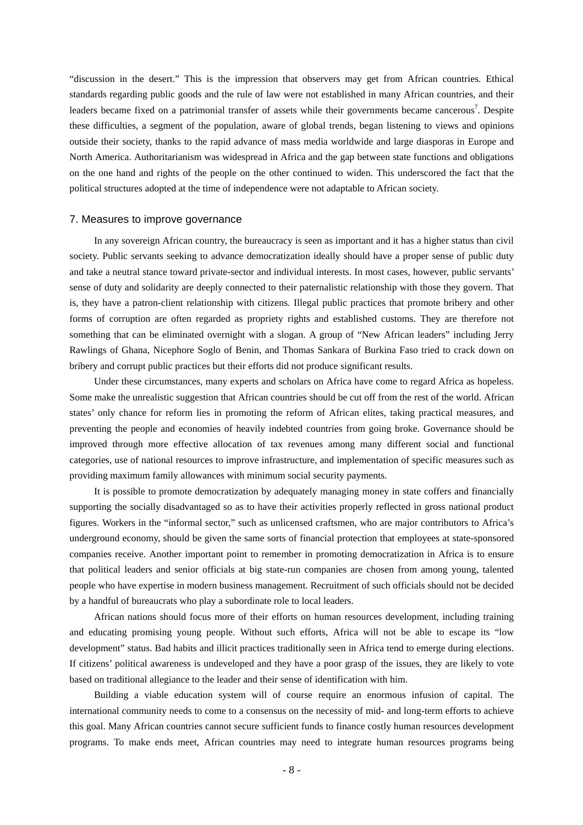"discussion in the desert." This is the impression that observers may get from African countries. Ethical standards regarding public goods and the rule of law were not established in many African countries, and their leaders became fixed on a patrimonial transfer of assets while their governments became cancerous<sup>[7](#page-11-6)</sup>. Despite these difficulties, a segment of the population, aware of global trends, began listening to views and opinions outside their society, thanks to the rapid advance of mass media worldwide and large diasporas in Europe and North America. Authoritarianism was widespread in Africa and the gap between state functions and obligations on the one hand and rights of the people on the other continued to widen. This underscored the fact that the political structures adopted at the time of independence were not adaptable to African society.

#### 7. Measures to improve governance

In any sovereign African country, the bureaucracy is seen as important and it has a higher status than civil society. Public servants seeking to advance democratization ideally should have a proper sense of public duty and take a neutral stance toward private-sector and individual interests. In most cases, however, public servants' sense of duty and solidarity are deeply connected to their paternalistic relationship with those they govern. That is, they have a patron-client relationship with citizens. Illegal public practices that promote bribery and other forms of corruption are often regarded as propriety rights and established customs. They are therefore not something that can be eliminated overnight with a slogan. A group of "New African leaders" including Jerry Rawlings of Ghana, Nicephore Soglo of Benin, and Thomas Sankara of Burkina Faso tried to crack down on bribery and corrupt public practices but their efforts did not produce significant results.

Under these circumstances, many experts and scholars on Africa have come to regard Africa as hopeless. Some make the unrealistic suggestion that African countries should be cut off from the rest of the world. African states' only chance for reform lies in promoting the reform of African elites, taking practical measures, and preventing the people and economies of heavily indebted countries from going broke. Governance should be improved through more effective allocation of tax revenues among many different social and functional categories, use of national resources to improve infrastructure, and implementation of specific measures such as providing maximum family allowances with minimum social security payments.

It is possible to promote democratization by adequately managing money in state coffers and financially supporting the socially disadvantaged so as to have their activities properly reflected in gross national product figures. Workers in the "informal sector," such as unlicensed craftsmen, who are major contributors to Africa's underground economy, should be given the same sorts of financial protection that employees at state-sponsored companies receive. Another important point to remember in promoting democratization in Africa is to ensure that political leaders and senior officials at big state-run companies are chosen from among young, talented people who have expertise in modern business management. Recruitment of such officials should not be decided by a handful of bureaucrats who play a subordinate role to local leaders.

African nations should focus more of their efforts on human resources development, including training and educating promising young people. Without such efforts, Africa will not be able to escape its "low development" status. Bad habits and illicit practices traditionally seen in Africa tend to emerge during elections. If citizens' political awareness is undeveloped and they have a poor grasp of the issues, they are likely to vote based on traditional allegiance to the leader and their sense of identification with him.

Building a viable education system will of course require an enormous infusion of capital. The international community needs to come to a consensus on the necessity of mid- and long-term efforts to achieve this goal. Many African countries cannot secure sufficient funds to finance costly human resources development programs. To make ends meet, African countries may need to integrate human resources programs being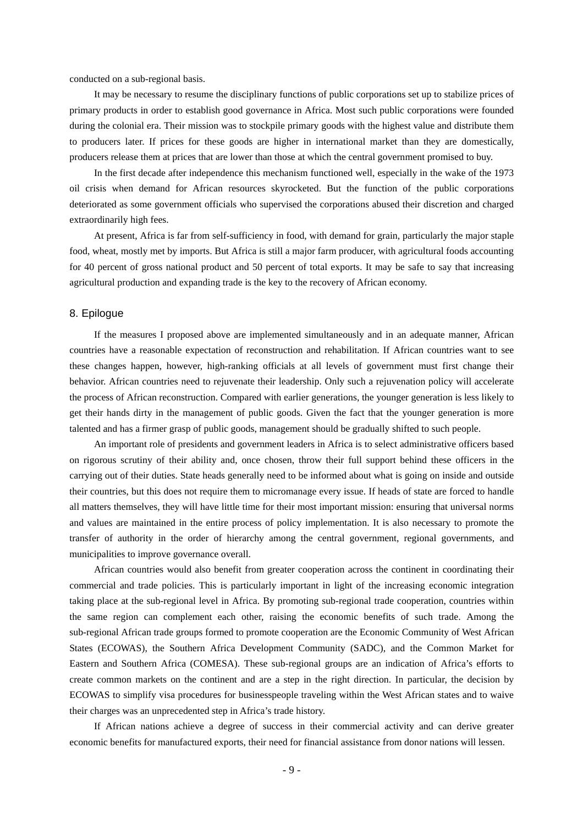conducted on a sub-regional basis.

It may be necessary to resume the disciplinary functions of public corporations set up to stabilize prices of primary products in order to establish good governance in Africa. Most such public corporations were founded during the colonial era. Their mission was to stockpile primary goods with the highest value and distribute them to producers later. If prices for these goods are higher in international market than they are domestically, producers release them at prices that are lower than those at which the central government promised to buy.

In the first decade after independence this mechanism functioned well, especially in the wake of the 1973 oil crisis when demand for African resources skyrocketed. But the function of the public corporations deteriorated as some government officials who supervised the corporations abused their discretion and charged extraordinarily high fees.

At present, Africa is far from self-sufficiency in food, with demand for grain, particularly the major staple food, wheat, mostly met by imports. But Africa is still a major farm producer, with agricultural foods accounting for 40 percent of gross national product and 50 percent of total exports. It may be safe to say that increasing agricultural production and expanding trade is the key to the recovery of African economy.

## 8. Epilogue

If the measures I proposed above are implemented simultaneously and in an adequate manner, African countries have a reasonable expectation of reconstruction and rehabilitation. If African countries want to see these changes happen, however, high-ranking officials at all levels of government must first change their behavior. African countries need to rejuvenate their leadership. Only such a rejuvenation policy will accelerate the process of African reconstruction. Compared with earlier generations, the younger generation is less likely to get their hands dirty in the management of public goods. Given the fact that the younger generation is more talented and has a firmer grasp of public goods, management should be gradually shifted to such people.

An important role of presidents and government leaders in Africa is to select administrative officers based on rigorous scrutiny of their ability and, once chosen, throw their full support behind these officers in the carrying out of their duties. State heads generally need to be informed about what is going on inside and outside their countries, but this does not require them to micromanage every issue. If heads of state are forced to handle all matters themselves, they will have little time for their most important mission: ensuring that universal norms and values are maintained in the entire process of policy implementation. It is also necessary to promote the transfer of authority in the order of hierarchy among the central government, regional governments, and municipalities to improve governance overall.

African countries would also benefit from greater cooperation across the continent in coordinating their commercial and trade policies. This is particularly important in light of the increasing economic integration taking place at the sub-regional level in Africa. By promoting sub-regional trade cooperation, countries within the same region can complement each other, raising the economic benefits of such trade. Among the sub-regional African trade groups formed to promote cooperation are the Economic Community of West African States (ECOWAS), the Southern Africa Development Community (SADC), and the Common Market for Eastern and Southern Africa (COMESA). These sub-regional groups are an indication of Africa's efforts to create common markets on the continent and are a step in the right direction. In particular, the decision by ECOWAS to simplify visa procedures for businesspeople traveling within the West African states and to waive their charges was an unprecedented step in Africa's trade history.

If African nations achieve a degree of success in their commercial activity and can derive greater economic benefits for manufactured exports, their need for financial assistance from donor nations will lessen.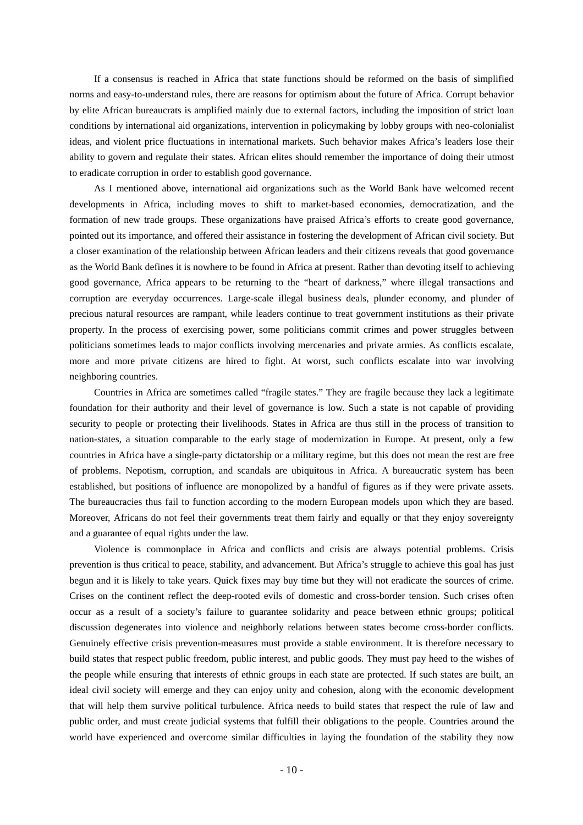If a consensus is reached in Africa that state functions should be reformed on the basis of simplified norms and easy-to-understand rules, there are reasons for optimism about the future of Africa. Corrupt behavior by elite African bureaucrats is amplified mainly due to external factors, including the imposition of strict loan conditions by international aid organizations, intervention in policymaking by lobby groups with neo-colonialist ideas, and violent price fluctuations in international markets. Such behavior makes Africa's leaders lose their ability to govern and regulate their states. African elites should remember the importance of doing their utmost to eradicate corruption in order to establish good governance.

As I mentioned above, international aid organizations such as the World Bank have welcomed recent developments in Africa, including moves to shift to market-based economies, democratization, and the formation of new trade groups. These organizations have praised Africa's efforts to create good governance, pointed out its importance, and offered their assistance in fostering the development of African civil society. But a closer examination of the relationship between African leaders and their citizens reveals that good governance as the World Bank defines it is nowhere to be found in Africa at present. Rather than devoting itself to achieving good governance, Africa appears to be returning to the "heart of darkness," where illegal transactions and corruption are everyday occurrences. Large-scale illegal business deals, plunder economy, and plunder of precious natural resources are rampant, while leaders continue to treat government institutions as their private property. In the process of exercising power, some politicians commit crimes and power struggles between politicians sometimes leads to major conflicts involving mercenaries and private armies. As conflicts escalate, more and more private citizens are hired to fight. At worst, such conflicts escalate into war involving neighboring countries.

Countries in Africa are sometimes called "fragile states." They are fragile because they lack a legitimate foundation for their authority and their level of governance is low. Such a state is not capable of providing security to people or protecting their livelihoods. States in Africa are thus still in the process of transition to nation-states, a situation comparable to the early stage of modernization in Europe. At present, only a few countries in Africa have a single-party dictatorship or a military regime, but this does not mean the rest are free of problems. Nepotism, corruption, and scandals are ubiquitous in Africa. A bureaucratic system has been established, but positions of influence are monopolized by a handful of figures as if they were private assets. The bureaucracies thus fail to function according to the modern European models upon which they are based. Moreover, Africans do not feel their governments treat them fairly and equally or that they enjoy sovereignty and a guarantee of equal rights under the law.

Violence is commonplace in Africa and conflicts and crisis are always potential problems. Crisis prevention is thus critical to peace, stability, and advancement. But Africa's struggle to achieve this goal has just begun and it is likely to take years. Quick fixes may buy time but they will not eradicate the sources of crime. Crises on the continent reflect the deep-rooted evils of domestic and cross-border tension. Such crises often occur as a result of a society's failure to guarantee solidarity and peace between ethnic groups; political discussion degenerates into violence and neighborly relations between states become cross-border conflicts. Genuinely effective crisis prevention-measures must provide a stable environment. It is therefore necessary to build states that respect public freedom, public interest, and public goods. They must pay heed to the wishes of the people while ensuring that interests of ethnic groups in each state are protected. If such states are built, an ideal civil society will emerge and they can enjoy unity and cohesion, along with the economic development that will help them survive political turbulence. Africa needs to build states that respect the rule of law and public order, and must create judicial systems that fulfill their obligations to the people. Countries around the world have experienced and overcome similar difficulties in laying the foundation of the stability they now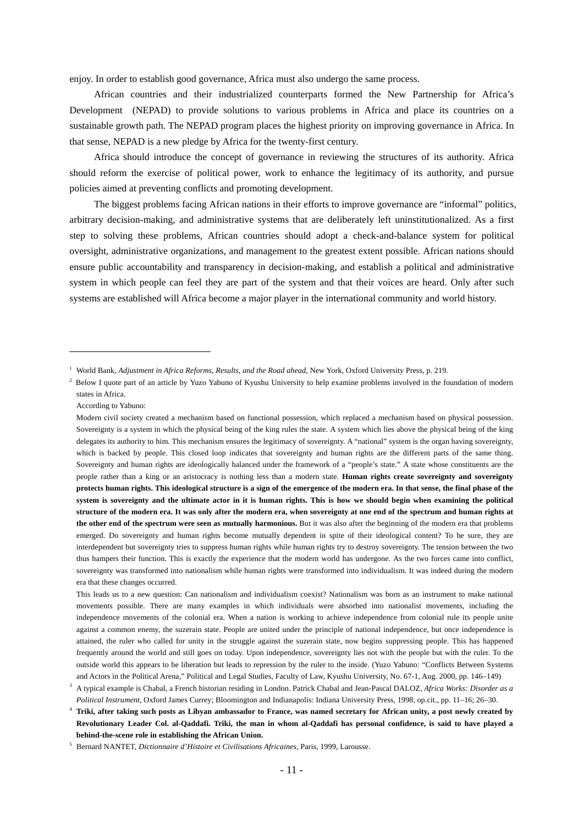enjoy. In order to establish good governance, Africa must also undergo the same process.

African countries and their industrialized counterparts formed the New Partnership for Africa's Development (NEPAD) to provide solutions to various problems in Africa and place its countries on a sustainable growth path. The NEPAD program places the highest priority on improving governance in Africa. In that sense, NEPAD is a new pledge by Africa for the twenty-first century.

Africa should introduce the concept of governance in reviewing the structures of its authority. Africa should reform the exercise of political power, work to enhance the legitimacy of its authority, and pursue policies aimed at preventing conflicts and promoting development.

The biggest problems facing African nations in their efforts to improve governance are "informal" politics, arbitrary decision-making, and administrative systems that are deliberately left uninstitutionalized. As a first step to solving these problems, African countries should adopt a check-and-balance system for political oversight, administrative organizations, and management to the greatest extent possible. African nations should ensure public accountability and transparency in decision-making, and establish a political and administrative system in which people can feel they are part of the system and that their voices are heard. Only after such systems are established will Africa become a major player in the international community and world history.

 $\overline{a}$ 

<sup>1</sup> World Bank, *Adjustment in Africa Reforms, Results, and the Road ahead*, New York, Oxford University Press, p. 219.

<sup>&</sup>lt;sup>2</sup> Below I quote part of an article by Yuzo Yabuno of Kyushu University to help examine problems involved in the foundation of modern states in Africa.

According to Yabuno:

Modern civil society created a mechanism based on functional possession, which replaced a mechanism based on physical possession. Sovereignty is a system in which the physical being of the king rules the state. A system which lies above the physical being of the king delegates its authority to him. This mechanism ensures the legitimacy of sovereignty. A "national" system is the organ having sovereignty, which is backed by people. This closed loop indicates that sovereignty and human rights are the different parts of the same thing. Sovereignty and human rights are ideologically balanced under the framework of a "people's state." A state whose constituents are the people rather than a king or an aristocracy is nothing less than a modern state. **Human rights create sovereignty and sovereignty protects human rights. This ideological structure is a sign of the emergence of the modern era. In that sense, the final phase of the system is sovereignty and the ultimate actor in it is human rights. This is how we should begin when examining the political structure of the modern era. It was only after the modern era, when sovereignty at one end of the spectrum and human rights at the other end of the spectrum were seen as mutually harmonious.** But it was also after the beginning of the modern era that problems emerged. Do sovereignty and human rights become mutually dependent in spite of their ideological content? To be sure, they are interdependent but sovereignty tries to suppress human rights while human rights try to destroy sovereignty. The tension between the two thus hampers their function. This is exactly the experience that the modern world has undergone. As the two forces came into conflict, sovereignty was transformed into nationalism while human rights were transformed into individualism. It was indeed during the modern era that these changes occurred.

This leads us to a new question: Can nationalism and individualism coexist? Nationalism was born as an instrument to make national movements possible. There are many examples in which individuals were absorbed into nationalist movements, including the independence movements of the colonial era. When a nation is working to achieve independence from colonial rule its people unite against a common enemy, the suzerain state. People are united under the principle of national independence, but once independence is attained, the ruler who called for unity in the struggle against the suzerain state, now begins suppressing people. This has happened frequently around the world and still goes on today. Upon independence, sovereignty lies not with the people but with the ruler. To the outside world this appears to be liberation but leads to repression by the ruler to the inside. (Yuzo Yabuno: "Conflicts Between Systems and Actors in the Political Arena," Political and Legal Studies, Faculty of Law, Kyushu University, No. 67-1, Aug. 2000, pp. 146–149)

<sup>3</sup> A typical example is Chabal, a French historian residing in London. Patrick Chabal and Jean-Pascal DALOZ, *Africa Works: Disorder as a Political Instrument*, Oxford James Currey; Bloomington and Indianapolis: Indiana University Press, 1998, op.cit., pp. 11–16; 26–30.

<sup>4</sup> **Triki, after taking such posts as Libyan ambassador to France, was named secretary for African unity, a post newly created by Revolutionary Leader Col. al-Qaddafi. Triki, the man in whom al-Qaddafi has personal confidence, is said to have played a behind-the-scene role in establishing the African Union.**

<sup>5</sup> Bernard NANTET, *Dictionnaire d'Histoire et Civilisations Africaines*, Paris, 1999, Larousse.